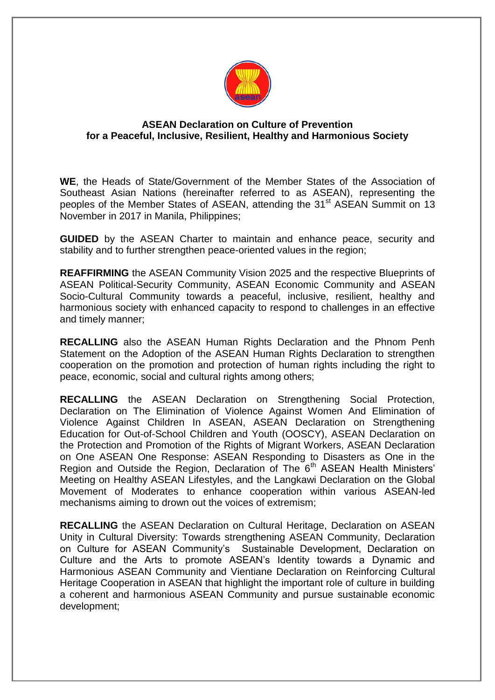

## **ASEAN Declaration on Culture of Prevention for a Peaceful, Inclusive, Resilient, Healthy and Harmonious Society**

**WE**, the Heads of State/Government of the Member States of the Association of Southeast Asian Nations (hereinafter referred to as ASEAN), representing the peoples of the Member States of ASEAN, attending the 31<sup>st</sup> ASEAN Summit on 13 November in 2017 in Manila, Philippines;

**GUIDED** by the ASEAN Charter to maintain and enhance peace, security and stability and to further strengthen peace-oriented values in the region;

**REAFFIRMING** the ASEAN Community Vision 2025 and the respective Blueprints of ASEAN Political-Security Community, ASEAN Economic Community and ASEAN Socio-Cultural Community towards a peaceful, inclusive, resilient, healthy and harmonious society with enhanced capacity to respond to challenges in an effective and timely manner;

**RECALLING** also the ASEAN Human Rights Declaration and the Phnom Penh Statement on the Adoption of the ASEAN Human Rights Declaration to strengthen cooperation on the promotion and protection of human rights including the right to peace, economic, social and cultural rights among others;

**RECALLING** the ASEAN Declaration on Strengthening Social Protection, Declaration on The Elimination of Violence Against Women And Elimination of Violence Against Children In ASEAN, ASEAN Declaration on Strengthening Education for Out-of-School Children and Youth (OOSCY), ASEAN Declaration on the Protection and Promotion of the Rights of Migrant Workers, ASEAN Declaration on One ASEAN One Response: ASEAN Responding to Disasters as One in the Region and Outside the Region, Declaration of The  $6<sup>th</sup>$  ASEAN Health Ministers' Meeting on Healthy ASEAN Lifestyles, and the Langkawi Declaration on the Global Movement of Moderates to enhance cooperation within various ASEAN-led mechanisms aiming to drown out the voices of extremism;

**RECALLING** the ASEAN Declaration on Cultural Heritage, Declaration on ASEAN Unity in Cultural Diversity: Towards strengthening ASEAN Community, Declaration on Culture for ASEAN Community's Sustainable Development, Declaration on Culture and the Arts to promote ASEAN's Identity towards a Dynamic and Harmonious ASEAN Community and Vientiane Declaration on Reinforcing Cultural Heritage Cooperation in ASEAN that highlight the important role of culture in building a coherent and harmonious ASEAN Community and pursue sustainable economic development;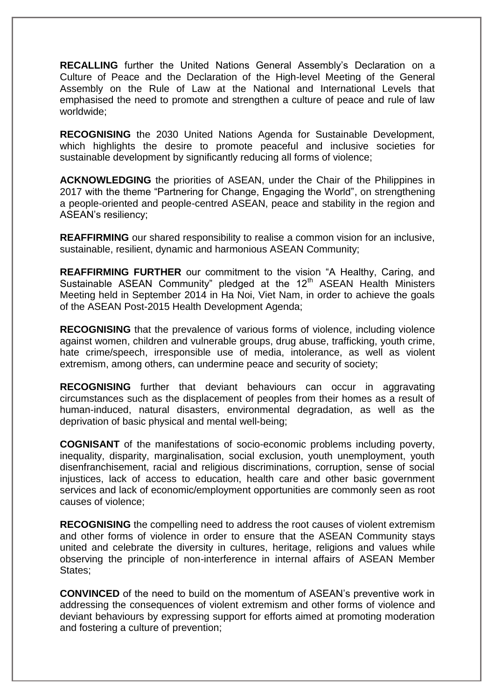**RECALLING** further the United Nations General Assembly's Declaration on a Culture of Peace and the Declaration of the High-level Meeting of the General Assembly on the Rule of Law at the National and International Levels that emphasised the need to promote and strengthen a culture of peace and rule of law worldwide;

**RECOGNISING** the 2030 United Nations Agenda for Sustainable Development, which highlights the desire to promote peaceful and inclusive societies for sustainable development by significantly reducing all forms of violence;

**ACKNOWLEDGING** the priorities of ASEAN, under the Chair of the Philippines in 2017 with the theme "Partnering for Change, Engaging the World", on strengthening a people-oriented and people-centred ASEAN, peace and stability in the region and ASEAN's resiliency;

**REAFFIRMING** our shared responsibility to realise a common vision for an inclusive, sustainable, resilient, dynamic and harmonious ASEAN Community;

**REAFFIRMING FURTHER** our commitment to the vision "A Healthy, Caring, and Sustainable ASEAN Community" pledged at the 12<sup>th</sup> ASEAN Health Ministers Meeting held in September 2014 in Ha Noi, Viet Nam, in order to achieve the goals of the ASEAN Post-2015 Health Development Agenda;

**RECOGNISING** that the prevalence of various forms of violence, including violence against women, children and vulnerable groups, drug abuse, trafficking, youth crime, hate crime/speech, irresponsible use of media, intolerance, as well as violent extremism, among others, can undermine peace and security of society;

**RECOGNISING** further that deviant behaviours can occur in aggravating circumstances such as the displacement of peoples from their homes as a result of human-induced, natural disasters, environmental degradation, as well as the deprivation of basic physical and mental well-being;

**COGNISANT** of the manifestations of socio-economic problems including poverty, inequality, disparity, marginalisation, social exclusion, youth unemployment, youth disenfranchisement, racial and religious discriminations, corruption, sense of social injustices, lack of access to education, health care and other basic government services and lack of economic/employment opportunities are commonly seen as root causes of violence;

**RECOGNISING** the compelling need to address the root causes of violent extremism and other forms of violence in order to ensure that the ASEAN Community stays united and celebrate the diversity in cultures, heritage, religions and values while observing the principle of non-interference in internal affairs of ASEAN Member States:

**CONVINCED** of the need to build on the momentum of ASEAN's preventive work in addressing the consequences of violent extremism and other forms of violence and deviant behaviours by expressing support for efforts aimed at promoting moderation and fostering a culture of prevention;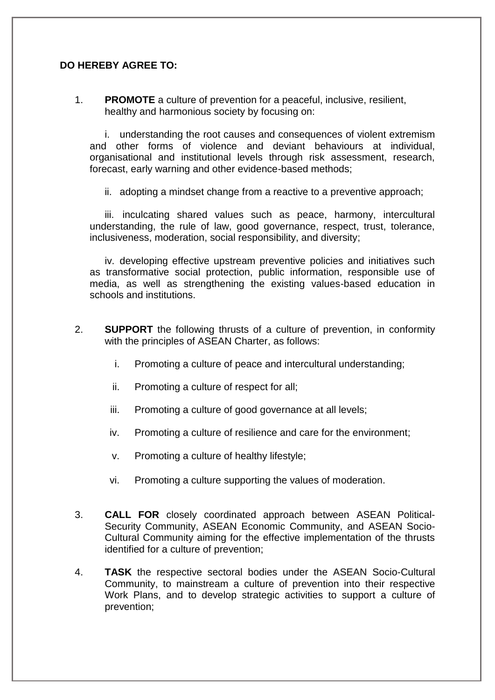## **DO HEREBY AGREE TO:**

1. **PROMOTE** a culture of prevention for a peaceful, inclusive, resilient, healthy and harmonious society by focusing on:

i. understanding the root causes and consequences of violent extremism and other forms of violence and deviant behaviours at individual, organisational and institutional levels through risk assessment, research, forecast, early warning and other evidence-based methods;

ii. adopting a mindset change from a reactive to a preventive approach;

iii. inculcating shared values such as peace, harmony, intercultural understanding, the rule of law, good governance, respect, trust, tolerance, inclusiveness, moderation, social responsibility, and diversity;

iv. developing effective upstream preventive policies and initiatives such as transformative social protection, public information, responsible use of media, as well as strengthening the existing values-based education in schools and institutions.

- 2. **SUPPORT** the following thrusts of a culture of prevention, in conformity with the principles of ASEAN Charter, as follows:
	- i. Promoting a culture of peace and intercultural understanding;
	- ii. Promoting a culture of respect for all;
	- iii. Promoting a culture of good governance at all levels;
	- iv. Promoting a culture of resilience and care for the environment;
	- v. Promoting a culture of healthy lifestyle;
	- vi. Promoting a culture supporting the values of moderation.
- 3. **CALL FOR** closely coordinated approach between ASEAN Political-Security Community, ASEAN Economic Community, and ASEAN Socio-Cultural Community aiming for the effective implementation of the thrusts identified for a culture of prevention;
- 4. **TASK** the respective sectoral bodies under the ASEAN Socio-Cultural Community, to mainstream a culture of prevention into their respective Work Plans, and to develop strategic activities to support a culture of prevention;